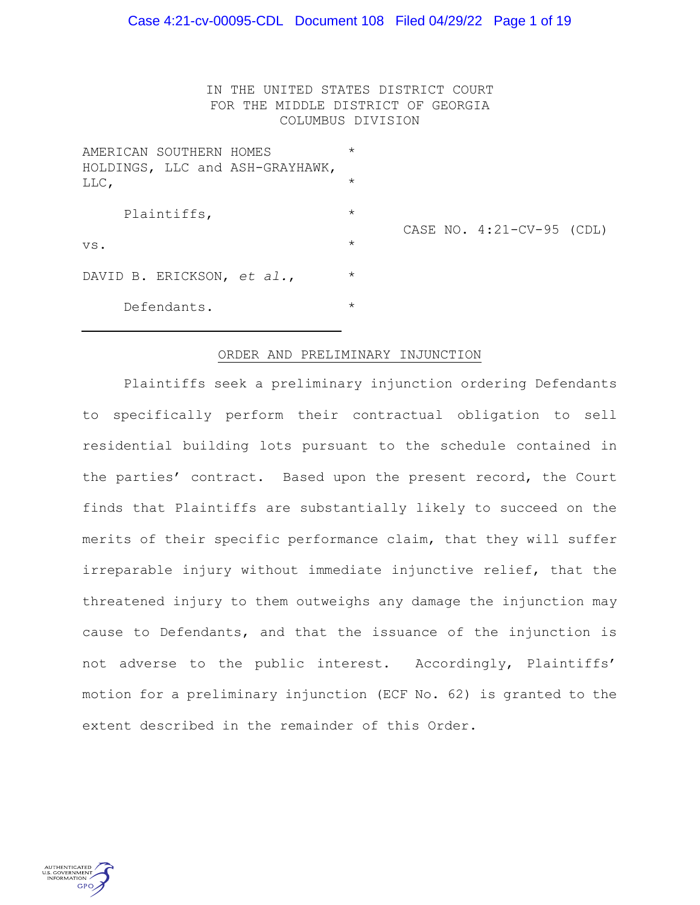### Case 4:21-cv-00095-CDL Document 108 Filed 04/29/22 Page 1 of 19

IN THE UNITED STATES DISTRICT COURT FOR THE MIDDLE DISTRICT OF GEORGIA COLUMBUS DIVISION

| AMERICAN SOUTHERN HOMES<br>HOLDINGS, LLC and ASH-GRAYHAWK, | $\star$ |                           |  |  |
|------------------------------------------------------------|---------|---------------------------|--|--|
| LLC,                                                       | $\star$ | CASE NO. 4:21-CV-95 (CDL) |  |  |
| Plaintiffs,                                                | $\star$ |                           |  |  |
| VS.                                                        | $\star$ |                           |  |  |
| DAVID B. ERICKSON, et al.,                                 | $\star$ |                           |  |  |
| Defendants.                                                | $\star$ |                           |  |  |

#### ORDER AND PRELIMINARY INJUNCTION

Plaintiffs seek a preliminary injunction ordering Defendants to specifically perform their contractual obligation to sell residential building lots pursuant to the schedule contained in the parties' contract. Based upon the present record, the Court finds that Plaintiffs are substantially likely to succeed on the merits of their specific performance claim, that they will suffer irreparable injury without immediate injunctive relief, that the threatened injury to them outweighs any damage the injunction may cause to Defendants, and that the issuance of the injunction is not adverse to the public interest. Accordingly, Plaintiffs' motion for a preliminary injunction (ECF No. 62) is granted to the extent described in the remainder of this Order.

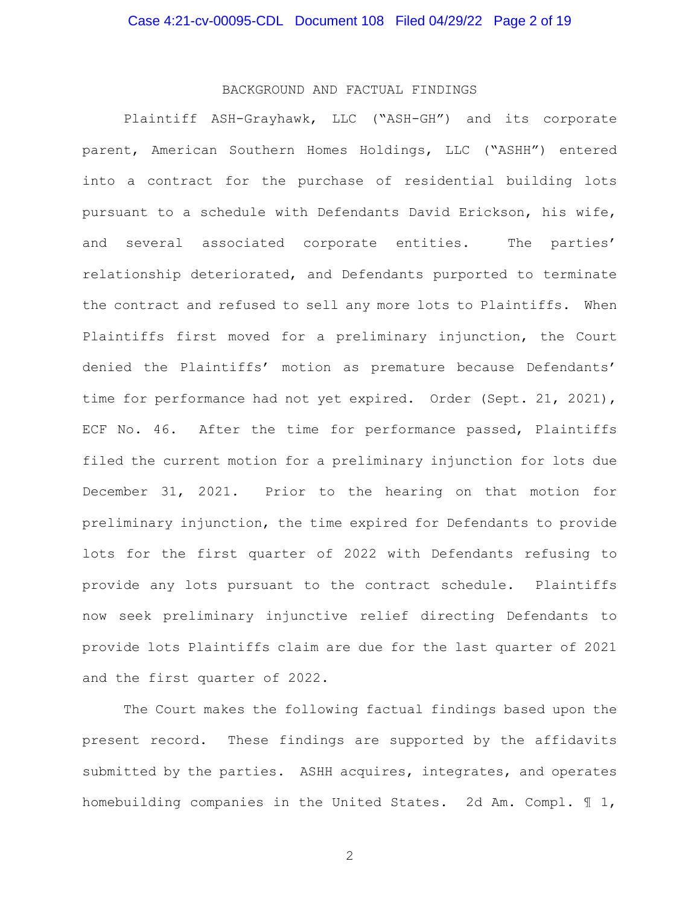## BACKGROUND AND FACTUAL FINDINGS

Plaintiff ASH-Grayhawk, LLC ("ASH-GH") and its corporate parent, American Southern Homes Holdings, LLC ("ASHH") entered into a contract for the purchase of residential building lots pursuant to a schedule with Defendants David Erickson, his wife, and several associated corporate entities. The parties' relationship deteriorated, and Defendants purported to terminate the contract and refused to sell any more lots to Plaintiffs. When Plaintiffs first moved for a preliminary injunction, the Court denied the Plaintiffs' motion as premature because Defendants' time for performance had not yet expired. Order (Sept. 21, 2021), ECF No. 46. After the time for performance passed, Plaintiffs filed the current motion for a preliminary injunction for lots due December 31, 2021. Prior to the hearing on that motion for preliminary injunction, the time expired for Defendants to provide lots for the first quarter of 2022 with Defendants refusing to provide any lots pursuant to the contract schedule. Plaintiffs now seek preliminary injunctive relief directing Defendants to provide lots Plaintiffs claim are due for the last quarter of 2021 and the first quarter of 2022.

The Court makes the following factual findings based upon the present record. These findings are supported by the affidavits submitted by the parties. ASHH acquires, integrates, and operates homebuilding companies in the United States. 2d Am. Compl. ¶ 1,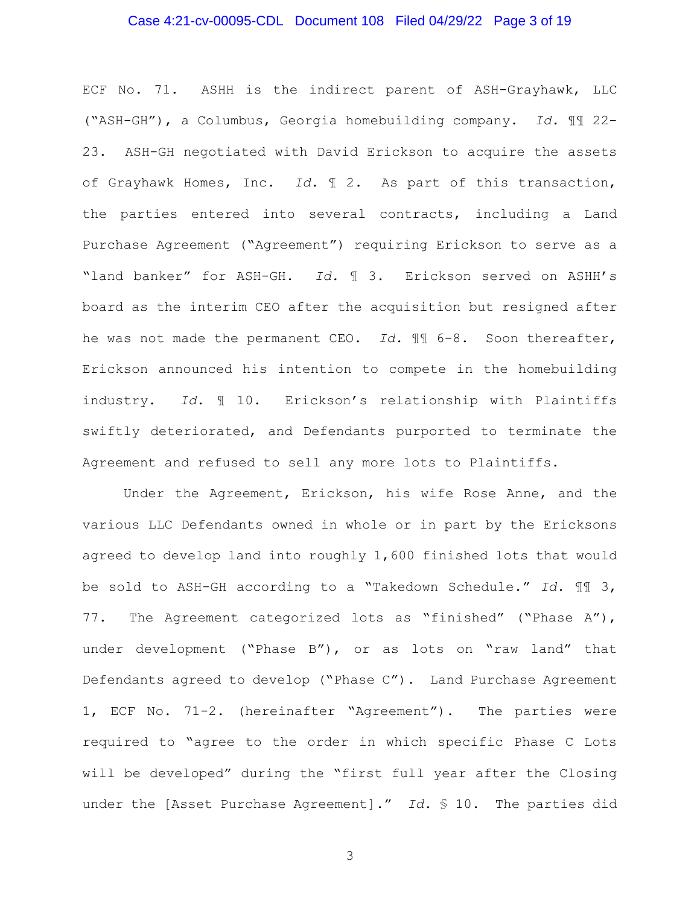## Case 4:21-cv-00095-CDL Document 108 Filed 04/29/22 Page 3 of 19

ECF No. 71. ASHH is the indirect parent of ASH-Grayhawk, LLC ("ASH-GH"), a Columbus, Georgia homebuilding company. *Id.* ¶¶ 22- 23. ASH-GH negotiated with David Erickson to acquire the assets of Grayhawk Homes, Inc. *Id.* ¶ 2. As part of this transaction, the parties entered into several contracts, including a Land Purchase Agreement ("Agreement") requiring Erickson to serve as a "land banker" for ASH-GH. *Id.* ¶ 3. Erickson served on ASHH's board as the interim CEO after the acquisition but resigned after he was not made the permanent CEO. *Id.* ¶¶ 6-8. Soon thereafter, Erickson announced his intention to compete in the homebuilding industry. *Id.* ¶ 10. Erickson's relationship with Plaintiffs swiftly deteriorated, and Defendants purported to terminate the Agreement and refused to sell any more lots to Plaintiffs.

Under the Agreement, Erickson, his wife Rose Anne, and the various LLC Defendants owned in whole or in part by the Ericksons agreed to develop land into roughly 1,600 finished lots that would be sold to ASH-GH according to a "Takedown Schedule." *Id.* ¶¶ 3, 77. The Agreement categorized lots as "finished" ("Phase A"), under development ("Phase B"), or as lots on "raw land" that Defendants agreed to develop ("Phase C"). Land Purchase Agreement 1, ECF No. 71-2. (hereinafter "Agreement"). The parties were required to "agree to the order in which specific Phase C Lots will be developed" during the "first full year after the Closing under the [Asset Purchase Agreement]." *Id.* § 10. The parties did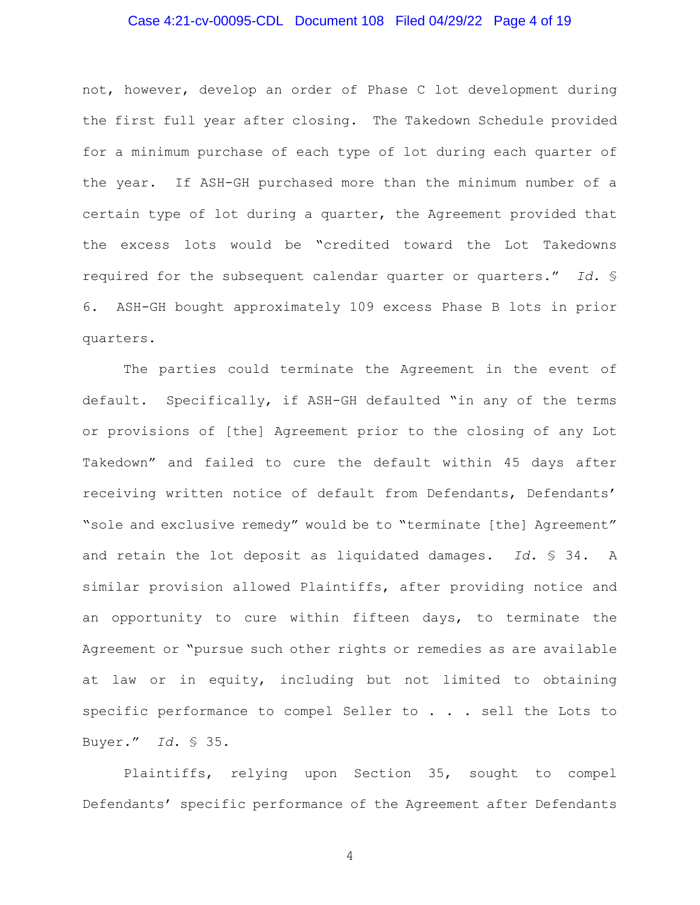## Case 4:21-cv-00095-CDL Document 108 Filed 04/29/22 Page 4 of 19

not, however, develop an order of Phase C lot development during the first full year after closing. The Takedown Schedule provided for a minimum purchase of each type of lot during each quarter of the year. If ASH-GH purchased more than the minimum number of a certain type of lot during a quarter, the Agreement provided that the excess lots would be "credited toward the Lot Takedowns required for the subsequent calendar quarter or quarters." *Id.* § 6. ASH-GH bought approximately 109 excess Phase B lots in prior quarters.

The parties could terminate the Agreement in the event of default. Specifically, if ASH-GH defaulted "in any of the terms or provisions of [the] Agreement prior to the closing of any Lot Takedown" and failed to cure the default within 45 days after receiving written notice of default from Defendants, Defendants' "sole and exclusive remedy" would be to "terminate [the] Agreement" and retain the lot deposit as liquidated damages. *Id.* § 34. A similar provision allowed Plaintiffs, after providing notice and an opportunity to cure within fifteen days, to terminate the Agreement or "pursue such other rights or remedies as are available at law or in equity, including but not limited to obtaining specific performance to compel Seller to . . . sell the Lots to Buyer." *Id.* § 35.

Plaintiffs, relying upon Section 35, sought to compel Defendants' specific performance of the Agreement after Defendants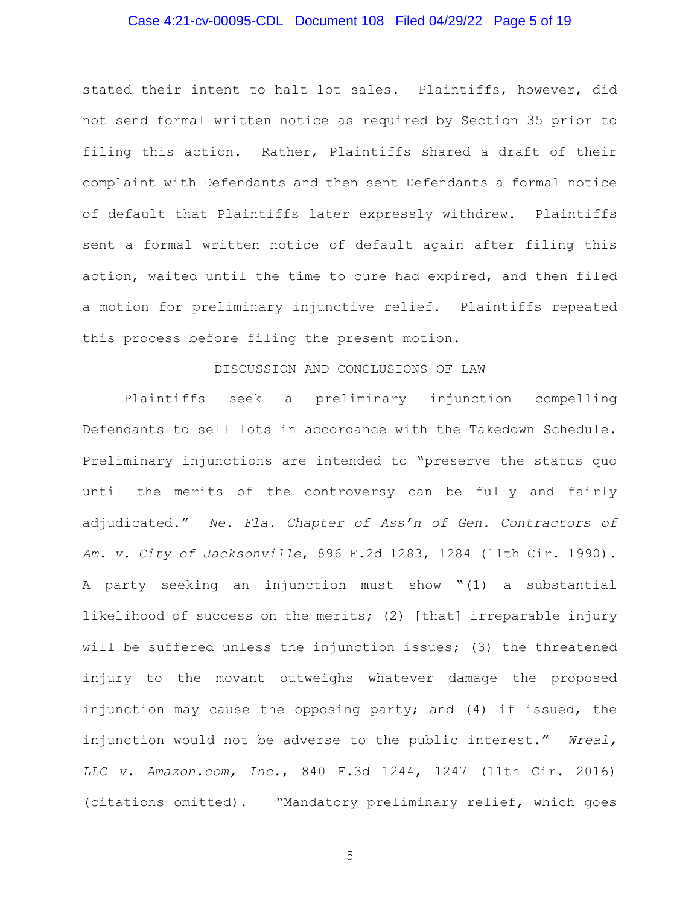## Case 4:21-cv-00095-CDL Document 108 Filed 04/29/22 Page 5 of 19

stated their intent to halt lot sales. Plaintiffs, however, did not send formal written notice as required by Section 35 prior to filing this action. Rather, Plaintiffs shared a draft of their complaint with Defendants and then sent Defendants a formal notice of default that Plaintiffs later expressly withdrew. Plaintiffs sent a formal written notice of default again after filing this action, waited until the time to cure had expired, and then filed a motion for preliminary injunctive relief. Plaintiffs repeated this process before filing the present motion.

#### DISCUSSION AND CONCLUSIONS OF LAW

Plaintiffs seek a preliminary injunction compelling Defendants to sell lots in accordance with the Takedown Schedule. Preliminary injunctions are intended to "preserve the status quo until the merits of the controversy can be fully and fairly adjudicated." *Ne. Fla. Chapter of Ass'n of Gen. Contractors of Am. v. City of Jacksonville*, 896 F.2d 1283, 1284 (11th Cir. 1990). A party seeking an injunction must show "(1) a substantial likelihood of success on the merits; (2) [that] irreparable injury will be suffered unless the injunction issues; (3) the threatened injury to the movant outweighs whatever damage the proposed injunction may cause the opposing party; and (4) if issued, the injunction would not be adverse to the public interest." *Wreal, LLC v. Amazon.com, Inc.*, 840 F.3d 1244, 1247 (11th Cir. 2016) (citations omitted). "Mandatory preliminary relief, which goes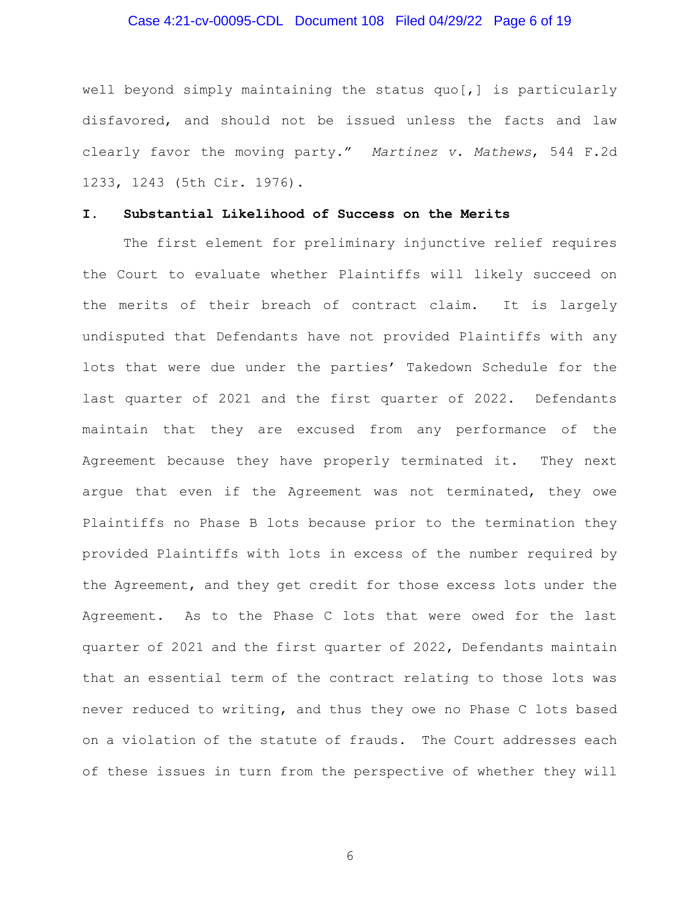## Case 4:21-cv-00095-CDL Document 108 Filed 04/29/22 Page 6 of 19

well beyond simply maintaining the status quo[,] is particularly disfavored, and should not be issued unless the facts and law clearly favor the moving party." *Martinez v. Mathews*, 544 F.2d 1233, 1243 (5th Cir. 1976).

#### **I. Substantial Likelihood of Success on the Merits**

The first element for preliminary injunctive relief requires the Court to evaluate whether Plaintiffs will likely succeed on the merits of their breach of contract claim. It is largely undisputed that Defendants have not provided Plaintiffs with any lots that were due under the parties' Takedown Schedule for the last quarter of 2021 and the first quarter of 2022. Defendants maintain that they are excused from any performance of the Agreement because they have properly terminated it. They next argue that even if the Agreement was not terminated, they owe Plaintiffs no Phase B lots because prior to the termination they provided Plaintiffs with lots in excess of the number required by the Agreement, and they get credit for those excess lots under the Agreement. As to the Phase C lots that were owed for the last quarter of 2021 and the first quarter of 2022, Defendants maintain that an essential term of the contract relating to those lots was never reduced to writing, and thus they owe no Phase C lots based on a violation of the statute of frauds. The Court addresses each of these issues in turn from the perspective of whether they will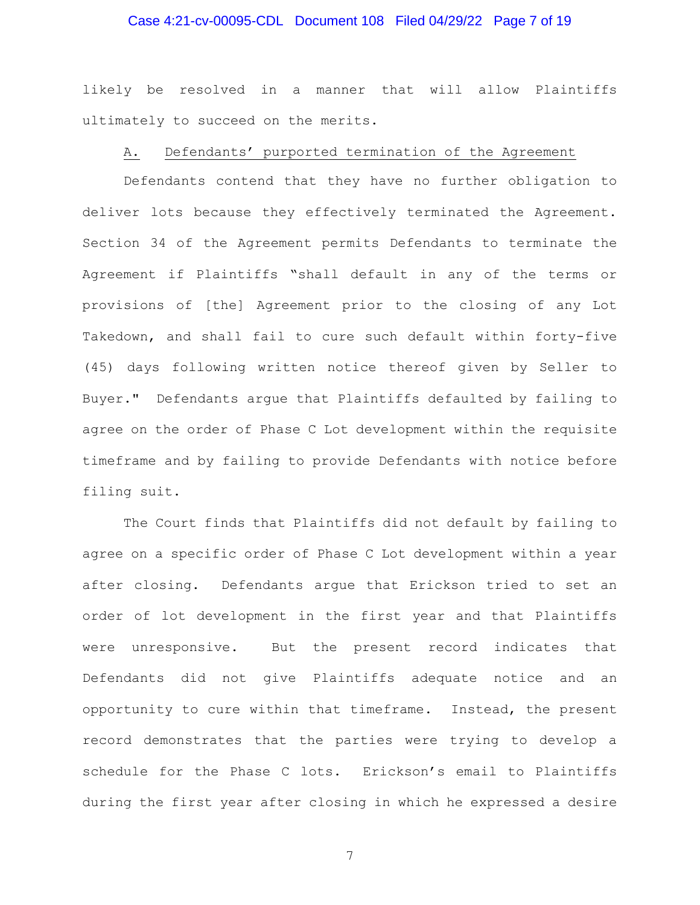## Case 4:21-cv-00095-CDL Document 108 Filed 04/29/22 Page 7 of 19

likely be resolved in a manner that will allow Plaintiffs ultimately to succeed on the merits.

#### A. Defendants' purported termination of the Agreement

Defendants contend that they have no further obligation to deliver lots because they effectively terminated the Agreement. Section 34 of the Agreement permits Defendants to terminate the Agreement if Plaintiffs "shall default in any of the terms or provisions of [the] Agreement prior to the closing of any Lot Takedown, and shall fail to cure such default within forty-five (45) days following written notice thereof given by Seller to Buyer." Defendants argue that Plaintiffs defaulted by failing to agree on the order of Phase C Lot development within the requisite timeframe and by failing to provide Defendants with notice before filing suit.

The Court finds that Plaintiffs did not default by failing to agree on a specific order of Phase C Lot development within a year after closing. Defendants argue that Erickson tried to set an order of lot development in the first year and that Plaintiffs were unresponsive. But the present record indicates that Defendants did not give Plaintiffs adequate notice and an opportunity to cure within that timeframe. Instead, the present record demonstrates that the parties were trying to develop a schedule for the Phase C lots. Erickson's email to Plaintiffs during the first year after closing in which he expressed a desire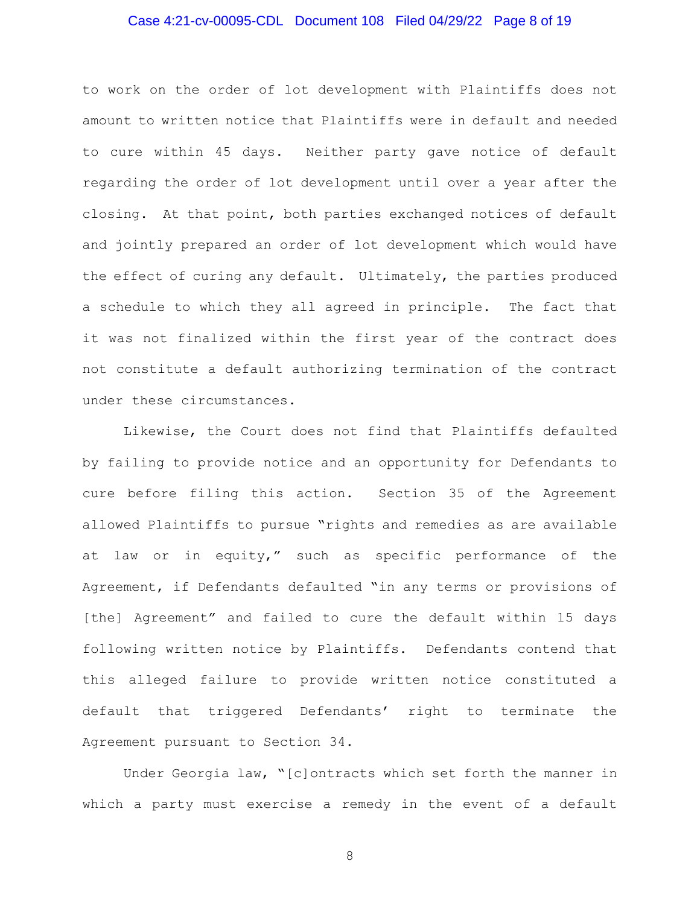## Case 4:21-cv-00095-CDL Document 108 Filed 04/29/22 Page 8 of 19

to work on the order of lot development with Plaintiffs does not amount to written notice that Plaintiffs were in default and needed to cure within 45 days. Neither party gave notice of default regarding the order of lot development until over a year after the closing. At that point, both parties exchanged notices of default and jointly prepared an order of lot development which would have the effect of curing any default. Ultimately, the parties produced a schedule to which they all agreed in principle. The fact that it was not finalized within the first year of the contract does not constitute a default authorizing termination of the contract under these circumstances.

Likewise, the Court does not find that Plaintiffs defaulted by failing to provide notice and an opportunity for Defendants to cure before filing this action. Section 35 of the Agreement allowed Plaintiffs to pursue "rights and remedies as are available at law or in equity," such as specific performance of the Agreement, if Defendants defaulted "in any terms or provisions of [the] Agreement" and failed to cure the default within 15 days following written notice by Plaintiffs. Defendants contend that this alleged failure to provide written notice constituted a default that triggered Defendants' right to terminate the Agreement pursuant to Section 34.

Under Georgia law, "[c]ontracts which set forth the manner in which a party must exercise a remedy in the event of a default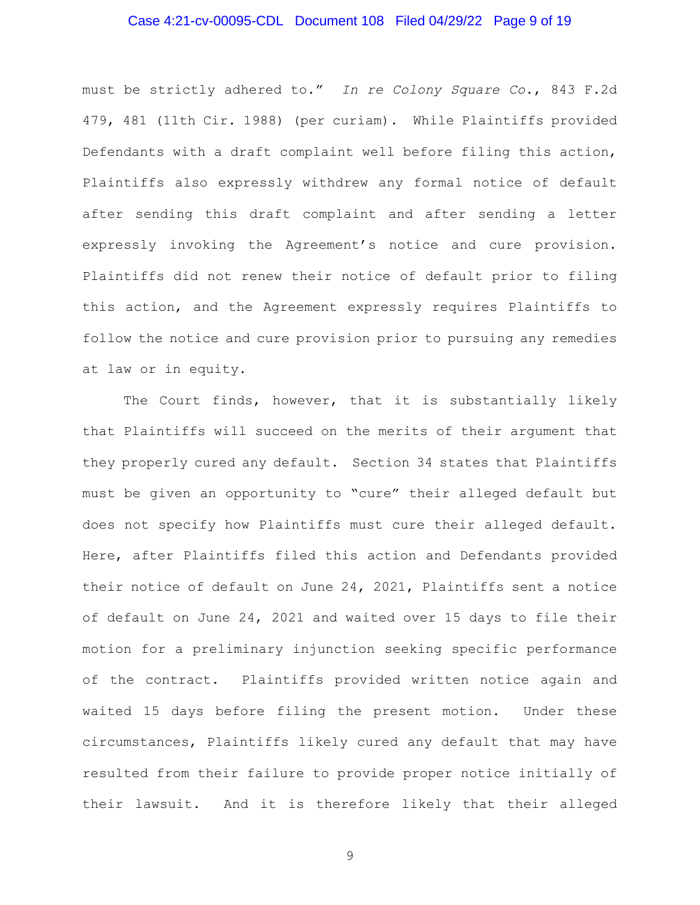## Case 4:21-cv-00095-CDL Document 108 Filed 04/29/22 Page 9 of 19

must be strictly adhered to." *In re Colony Square Co.*, 843 F.2d 479, 481 (11th Cir. 1988) (per curiam). While Plaintiffs provided Defendants with a draft complaint well before filing this action, Plaintiffs also expressly withdrew any formal notice of default after sending this draft complaint and after sending a letter expressly invoking the Agreement's notice and cure provision. Plaintiffs did not renew their notice of default prior to filing this action, and the Agreement expressly requires Plaintiffs to follow the notice and cure provision prior to pursuing any remedies at law or in equity.

The Court finds, however, that it is substantially likely that Plaintiffs will succeed on the merits of their argument that they properly cured any default. Section 34 states that Plaintiffs must be given an opportunity to "cure" their alleged default but does not specify how Plaintiffs must cure their alleged default. Here, after Plaintiffs filed this action and Defendants provided their notice of default on June 24, 2021, Plaintiffs sent a notice of default on June 24, 2021 and waited over 15 days to file their motion for a preliminary injunction seeking specific performance of the contract. Plaintiffs provided written notice again and waited 15 days before filing the present motion. Under these circumstances, Plaintiffs likely cured any default that may have resulted from their failure to provide proper notice initially of their lawsuit. And it is therefore likely that their alleged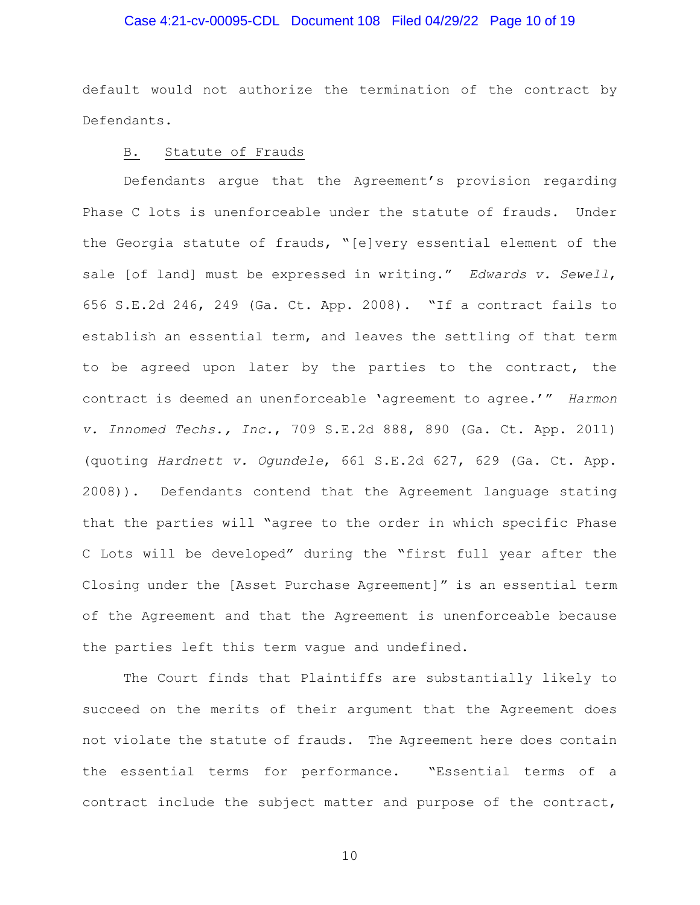#### Case 4:21-cv-00095-CDL Document 108 Filed 04/29/22 Page 10 of 19

default would not authorize the termination of the contract by Defendants.

### B. Statute of Frauds

Defendants argue that the Agreement's provision regarding Phase C lots is unenforceable under the statute of frauds. Under the Georgia statute of frauds, "[e]very essential element of the sale [of land] must be expressed in writing." *Edwards v. Sewell*, 656 S.E.2d 246, 249 (Ga. Ct. App. 2008). "If a contract fails to establish an essential term, and leaves the settling of that term to be agreed upon later by the parties to the contract, the contract is deemed an unenforceable 'agreement to agree.'" *Harmon v. Innomed Techs., Inc.*, 709 S.E.2d 888, 890 (Ga. Ct. App. 2011) (quoting *Hardnett v. Ogundele*, 661 S.E.2d 627, 629 (Ga. Ct. App. 2008)). Defendants contend that the Agreement language stating that the parties will "agree to the order in which specific Phase C Lots will be developed" during the "first full year after the Closing under the [Asset Purchase Agreement]" is an essential term of the Agreement and that the Agreement is unenforceable because the parties left this term vague and undefined.

The Court finds that Plaintiffs are substantially likely to succeed on the merits of their argument that the Agreement does not violate the statute of frauds. The Agreement here does contain the essential terms for performance. "Essential terms of a contract include the subject matter and purpose of the contract,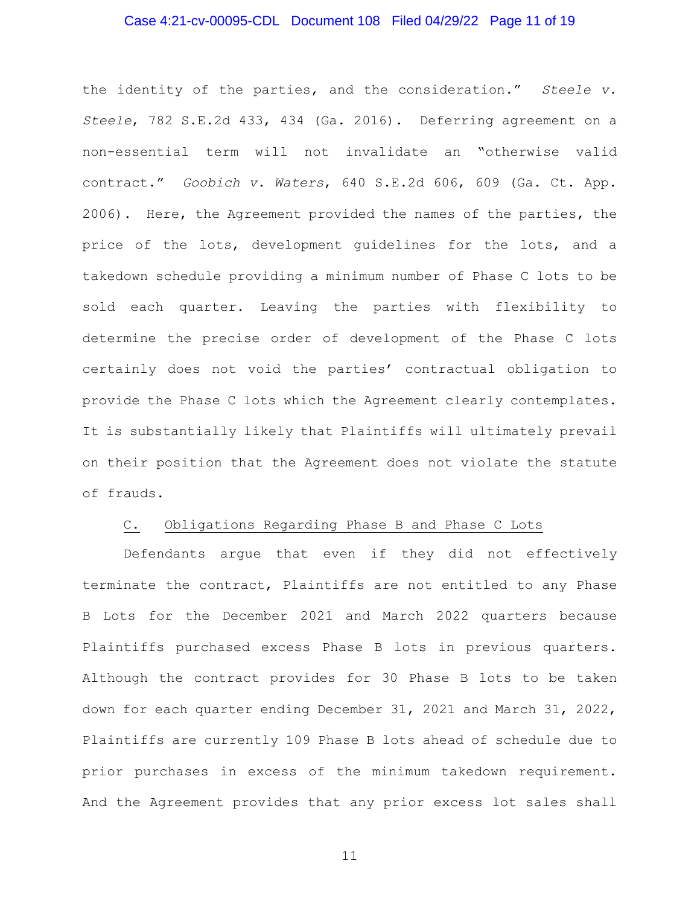#### Case 4:21-cv-00095-CDL Document 108 Filed 04/29/22 Page 11 of 19

the identity of the parties, and the consideration." *Steele v. Steele*, 782 S.E.2d 433, 434 (Ga. 2016). Deferring agreement on a non-essential term will not invalidate an "otherwise valid contract." *Goobich v. Waters*, 640 S.E.2d 606, 609 (Ga. Ct. App. 2006). Here, the Agreement provided the names of the parties, the price of the lots, development guidelines for the lots, and a takedown schedule providing a minimum number of Phase C lots to be sold each quarter. Leaving the parties with flexibility to determine the precise order of development of the Phase C lots certainly does not void the parties' contractual obligation to provide the Phase C lots which the Agreement clearly contemplates. It is substantially likely that Plaintiffs will ultimately prevail on their position that the Agreement does not violate the statute of frauds.

#### C. Obligations Regarding Phase B and Phase C Lots

Defendants argue that even if they did not effectively terminate the contract, Plaintiffs are not entitled to any Phase B Lots for the December 2021 and March 2022 quarters because Plaintiffs purchased excess Phase B lots in previous quarters. Although the contract provides for 30 Phase B lots to be taken down for each quarter ending December 31, 2021 and March 31, 2022, Plaintiffs are currently 109 Phase B lots ahead of schedule due to prior purchases in excess of the minimum takedown requirement. And the Agreement provides that any prior excess lot sales shall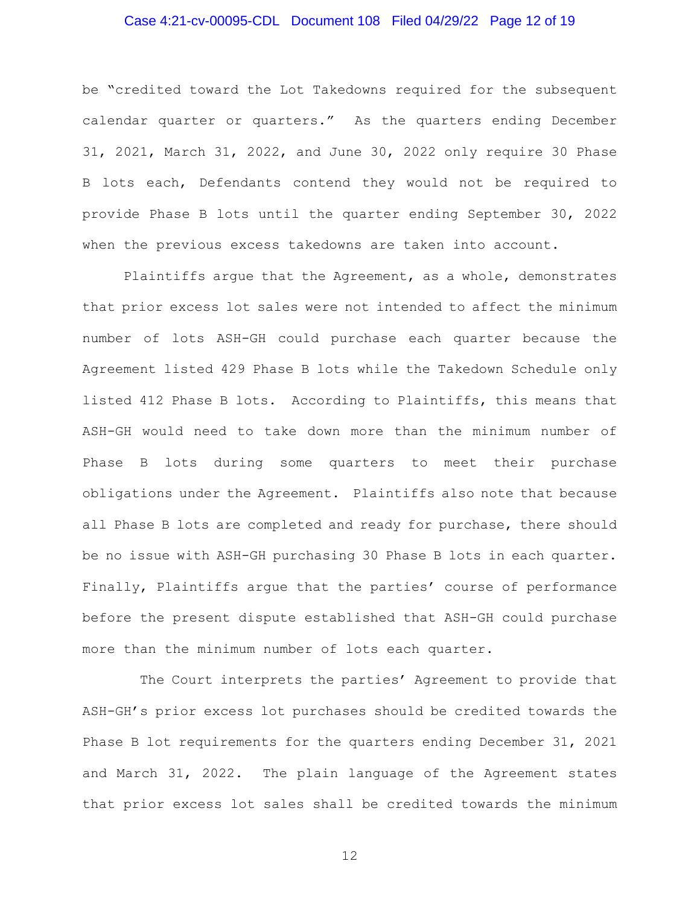# Case 4:21-cv-00095-CDL Document 108 Filed 04/29/22 Page 12 of 19

be "credited toward the Lot Takedowns required for the subsequent calendar quarter or quarters." As the quarters ending December 31, 2021, March 31, 2022, and June 30, 2022 only require 30 Phase B lots each, Defendants contend they would not be required to provide Phase B lots until the quarter ending September 30, 2022 when the previous excess takedowns are taken into account.

Plaintiffs argue that the Agreement, as a whole, demonstrates that prior excess lot sales were not intended to affect the minimum number of lots ASH-GH could purchase each quarter because the Agreement listed 429 Phase B lots while the Takedown Schedule only listed 412 Phase B lots. According to Plaintiffs, this means that ASH-GH would need to take down more than the minimum number of Phase B lots during some quarters to meet their purchase obligations under the Agreement. Plaintiffs also note that because all Phase B lots are completed and ready for purchase, there should be no issue with ASH-GH purchasing 30 Phase B lots in each quarter. Finally, Plaintiffs argue that the parties' course of performance before the present dispute established that ASH-GH could purchase more than the minimum number of lots each quarter.

 The Court interprets the parties' Agreement to provide that ASH-GH's prior excess lot purchases should be credited towards the Phase B lot requirements for the quarters ending December 31, 2021 and March 31, 2022. The plain language of the Agreement states that prior excess lot sales shall be credited towards the minimum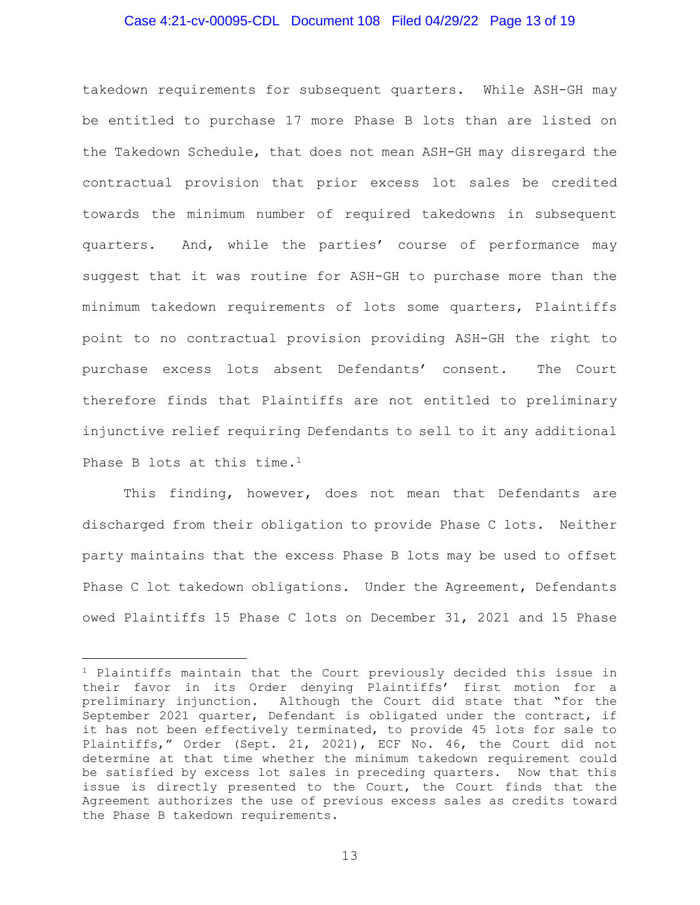#### Case 4:21-cv-00095-CDL Document 108 Filed 04/29/22 Page 13 of 19

takedown requirements for subsequent quarters. While ASH-GH may be entitled to purchase 17 more Phase B lots than are listed on the Takedown Schedule, that does not mean ASH-GH may disregard the contractual provision that prior excess lot sales be credited towards the minimum number of required takedowns in subsequent quarters. And, while the parties' course of performance may suggest that it was routine for ASH-GH to purchase more than the minimum takedown requirements of lots some quarters, Plaintiffs point to no contractual provision providing ASH-GH the right to purchase excess lots absent Defendants' consent. The Court therefore finds that Plaintiffs are not entitled to preliminary injunctive relief requiring Defendants to sell to it any additional Phase B lots at this time.<sup>1</sup>

This finding, however, does not mean that Defendants are discharged from their obligation to provide Phase C lots. Neither party maintains that the excess Phase B lots may be used to offset Phase C lot takedown obligations. Under the Agreement, Defendants owed Plaintiffs 15 Phase C lots on December 31, 2021 and 15 Phase

<sup>1</sup> Plaintiffs maintain that the Court previously decided this issue in their favor in its Order denying Plaintiffs' first motion for a preliminary injunction. Although the Court did state that "for the September 2021 quarter, Defendant is obligated under the contract, if it has not been effectively terminated, to provide 45 lots for sale to Plaintiffs," Order (Sept. 21, 2021), ECF No. 46, the Court did not determine at that time whether the minimum takedown requirement could be satisfied by excess lot sales in preceding quarters. Now that this issue is directly presented to the Court, the Court finds that the Agreement authorizes the use of previous excess sales as credits toward the Phase B takedown requirements.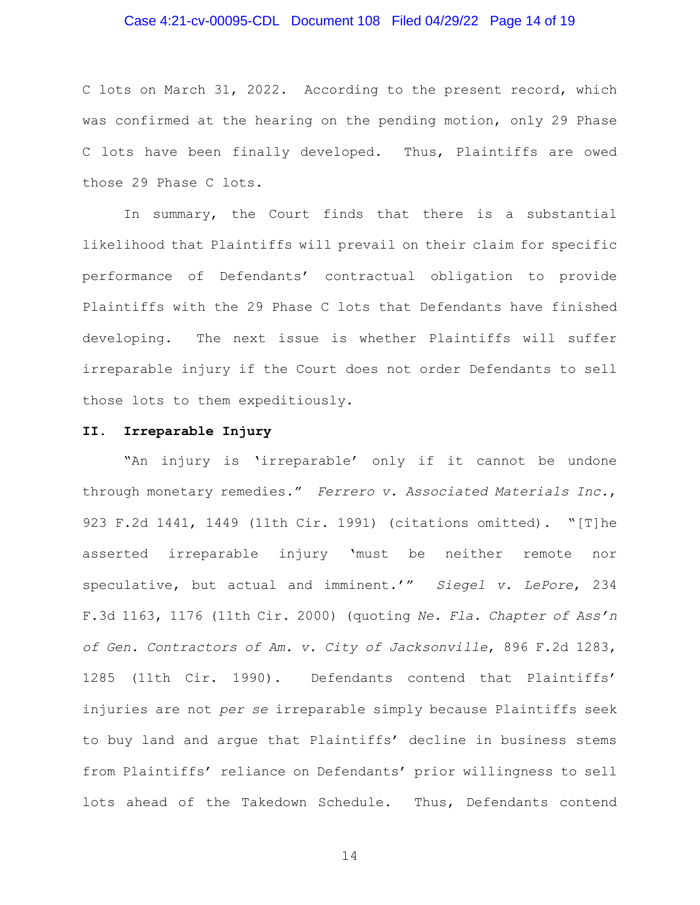#### Case 4:21-cv-00095-CDL Document 108 Filed 04/29/22 Page 14 of 19

C lots on March 31, 2022. According to the present record, which was confirmed at the hearing on the pending motion, only 29 Phase C lots have been finally developed. Thus, Plaintiffs are owed those 29 Phase C lots.

In summary, the Court finds that there is a substantial likelihood that Plaintiffs will prevail on their claim for specific performance of Defendants' contractual obligation to provide Plaintiffs with the 29 Phase C lots that Defendants have finished developing. The next issue is whether Plaintiffs will suffer irreparable injury if the Court does not order Defendants to sell those lots to them expeditiously.

#### **II. Irreparable Injury**

"An injury is 'irreparable' only if it cannot be undone through monetary remedies." *Ferrero v. Associated Materials Inc.*, 923 F.2d 1441, 1449 (11th Cir. 1991) (citations omitted). "[T]he asserted irreparable injury 'must be neither remote nor speculative, but actual and imminent.'" *Siegel v. LePore*, 234 F.3d 1163, 1176 (11th Cir. 2000) (quoting *Ne. Fla. Chapter of Ass'n of Gen. Contractors of Am. v. City of Jacksonville*, 896 F.2d 1283, 1285 (11th Cir. 1990). Defendants contend that Plaintiffs' injuries are not *per se* irreparable simply because Plaintiffs seek to buy land and argue that Plaintiffs' decline in business stems from Plaintiffs' reliance on Defendants' prior willingness to sell lots ahead of the Takedown Schedule. Thus, Defendants contend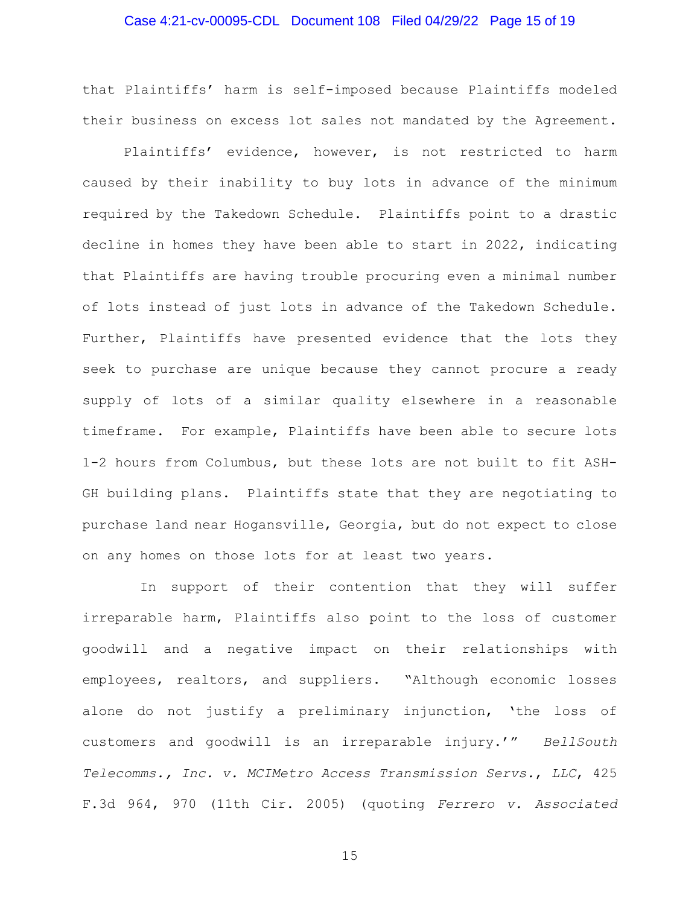## Case 4:21-cv-00095-CDL Document 108 Filed 04/29/22 Page 15 of 19

that Plaintiffs' harm is self-imposed because Plaintiffs modeled their business on excess lot sales not mandated by the Agreement.

Plaintiffs' evidence, however, is not restricted to harm caused by their inability to buy lots in advance of the minimum required by the Takedown Schedule. Plaintiffs point to a drastic decline in homes they have been able to start in 2022, indicating that Plaintiffs are having trouble procuring even a minimal number of lots instead of just lots in advance of the Takedown Schedule. Further, Plaintiffs have presented evidence that the lots they seek to purchase are unique because they cannot procure a ready supply of lots of a similar quality elsewhere in a reasonable timeframe. For example, Plaintiffs have been able to secure lots 1-2 hours from Columbus, but these lots are not built to fit ASH-GH building plans. Plaintiffs state that they are negotiating to purchase land near Hogansville, Georgia, but do not expect to close on any homes on those lots for at least two years.

 In support of their contention that they will suffer irreparable harm, Plaintiffs also point to the loss of customer goodwill and a negative impact on their relationships with employees, realtors, and suppliers. "Although economic losses alone do not justify a preliminary injunction, 'the loss of customers and goodwill is an irreparable injury.'" *BellSouth Telecomms., Inc. v. MCIMetro Access Transmission Servs.*, *LLC*, 425 F.3d 964, 970 (11th Cir. 2005) (quoting *Ferrero v. Associated*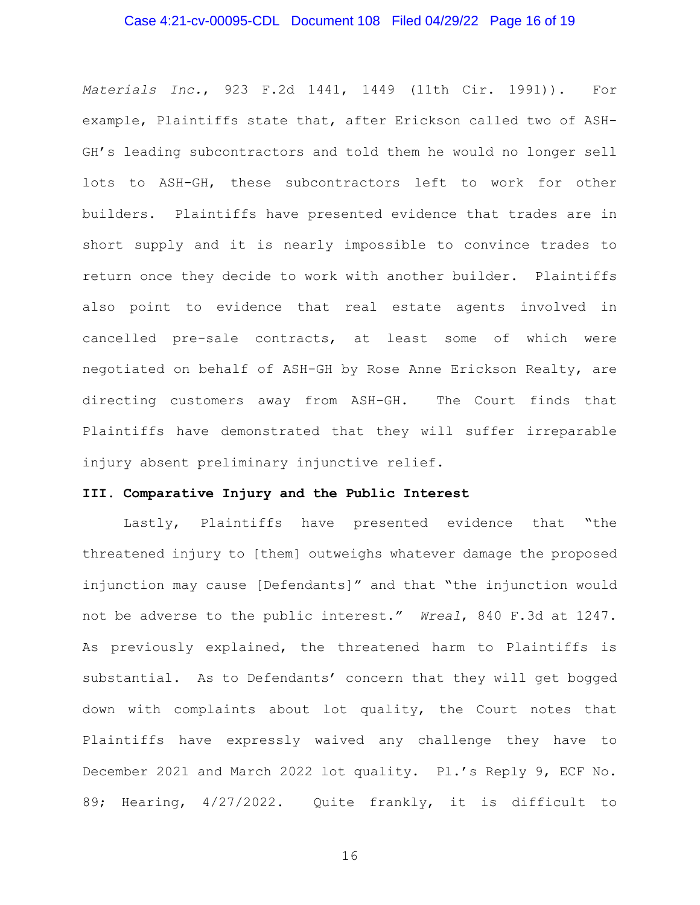#### Case 4:21-cv-00095-CDL Document 108 Filed 04/29/22 Page 16 of 19

*Materials Inc.*, 923 F.2d 1441, 1449 (11th Cir. 1991)). For example, Plaintiffs state that, after Erickson called two of ASH-GH's leading subcontractors and told them he would no longer sell lots to ASH-GH, these subcontractors left to work for other builders. Plaintiffs have presented evidence that trades are in short supply and it is nearly impossible to convince trades to return once they decide to work with another builder. Plaintiffs also point to evidence that real estate agents involved in cancelled pre-sale contracts, at least some of which were negotiated on behalf of ASH-GH by Rose Anne Erickson Realty, are directing customers away from ASH-GH. The Court finds that Plaintiffs have demonstrated that they will suffer irreparable injury absent preliminary injunctive relief.

#### **III. Comparative Injury and the Public Interest**

Lastly, Plaintiffs have presented evidence that "the threatened injury to [them] outweighs whatever damage the proposed injunction may cause [Defendants]" and that "the injunction would not be adverse to the public interest." *Wreal*, 840 F.3d at 1247. As previously explained, the threatened harm to Plaintiffs is substantial. As to Defendants' concern that they will get bogged down with complaints about lot quality, the Court notes that Plaintiffs have expressly waived any challenge they have to December 2021 and March 2022 lot quality. Pl.'s Reply 9, ECF No. 89; Hearing, 4/27/2022. Quite frankly, it is difficult to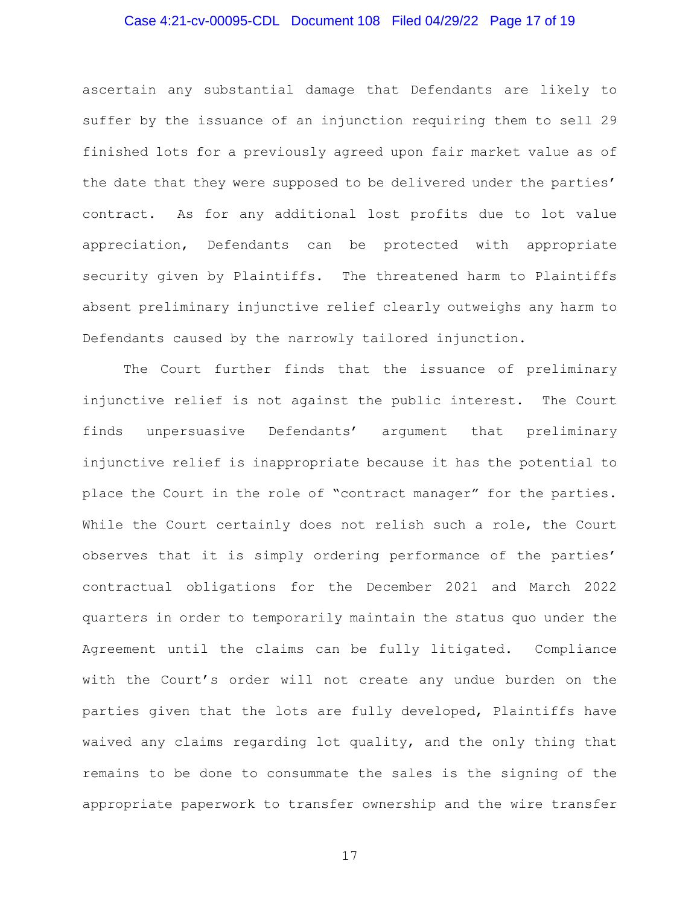## Case 4:21-cv-00095-CDL Document 108 Filed 04/29/22 Page 17 of 19

ascertain any substantial damage that Defendants are likely to suffer by the issuance of an injunction requiring them to sell 29 finished lots for a previously agreed upon fair market value as of the date that they were supposed to be delivered under the parties' contract. As for any additional lost profits due to lot value appreciation, Defendants can be protected with appropriate security given by Plaintiffs. The threatened harm to Plaintiffs absent preliminary injunctive relief clearly outweighs any harm to Defendants caused by the narrowly tailored injunction.

The Court further finds that the issuance of preliminary injunctive relief is not against the public interest. The Court finds unpersuasive Defendants' argument that preliminary injunctive relief is inappropriate because it has the potential to place the Court in the role of "contract manager" for the parties. While the Court certainly does not relish such a role, the Court observes that it is simply ordering performance of the parties' contractual obligations for the December 2021 and March 2022 quarters in order to temporarily maintain the status quo under the Agreement until the claims can be fully litigated. Compliance with the Court's order will not create any undue burden on the parties given that the lots are fully developed, Plaintiffs have waived any claims regarding lot quality, and the only thing that remains to be done to consummate the sales is the signing of the appropriate paperwork to transfer ownership and the wire transfer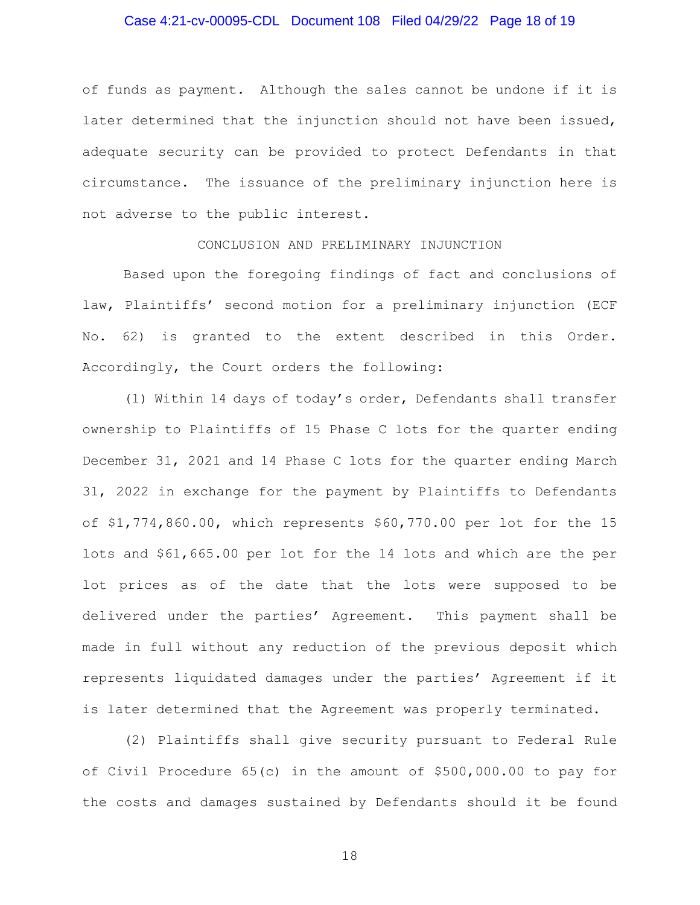#### Case 4:21-cv-00095-CDL Document 108 Filed 04/29/22 Page 18 of 19

of funds as payment. Although the sales cannot be undone if it is later determined that the injunction should not have been issued, adequate security can be provided to protect Defendants in that circumstance. The issuance of the preliminary injunction here is not adverse to the public interest.

#### CONCLUSION AND PRELIMINARY INJUNCTION

Based upon the foregoing findings of fact and conclusions of law, Plaintiffs' second motion for a preliminary injunction (ECF No. 62) is granted to the extent described in this Order. Accordingly, the Court orders the following:

(1) Within 14 days of today's order, Defendants shall transfer ownership to Plaintiffs of 15 Phase C lots for the quarter ending December 31, 2021 and 14 Phase C lots for the quarter ending March 31, 2022 in exchange for the payment by Plaintiffs to Defendants of \$1,774,860.00, which represents \$60,770.00 per lot for the 15 lots and \$61,665.00 per lot for the 14 lots and which are the per lot prices as of the date that the lots were supposed to be delivered under the parties' Agreement. This payment shall be made in full without any reduction of the previous deposit which represents liquidated damages under the parties' Agreement if it is later determined that the Agreement was properly terminated.

(2) Plaintiffs shall give security pursuant to Federal Rule of Civil Procedure 65(c) in the amount of \$500,000.00 to pay for the costs and damages sustained by Defendants should it be found